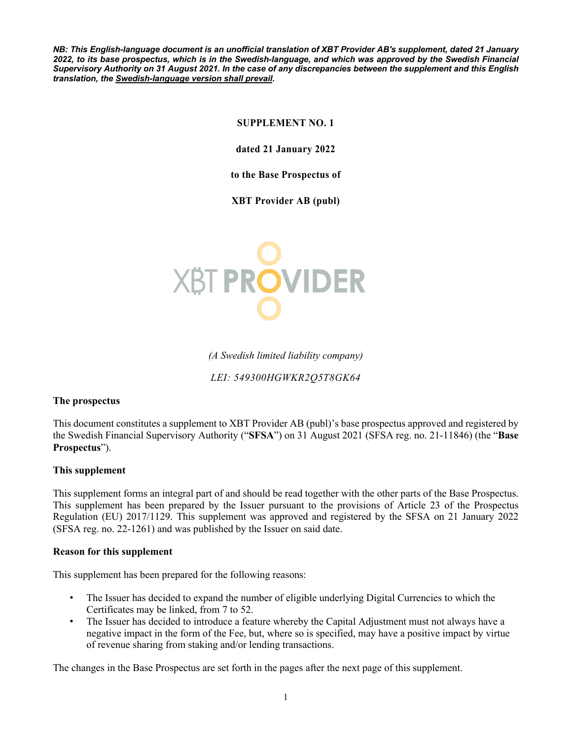*NB: This English-language document is an unofficial translation of XBT Provider AB's supplement, dated 21 January 2022, to its base prospectus, which is in the Swedish-language, and which was approved by the Swedish Financial Supervisory Authority on 31 August 2021. In the case of any discrepancies between the supplement and this English translation, the Swedish-language version shall prevail.*

# **SUPPLEMENT NO. 1**

**dated 21 January 2022**

**to the Base Prospectus of** 

**XBT Provider AB (publ)**



*(A Swedish limited liability company)*

*LEI: 549300HGWKR2Q5T8GK64*

#### **The prospectus**

This document constitutes a supplement to XBT Provider AB (publ)'s base prospectus approved and registered by the Swedish Financial Supervisory Authority ("**SFSA**") on 31 August 2021 (SFSA reg. no. 21-11846) (the "**Base Prospectus**").

#### **This supplement**

This supplement forms an integral part of and should be read together with the other parts of the Base Prospectus. This supplement has been prepared by the Issuer pursuant to the provisions of Article 23 of the Prospectus Regulation (EU) 2017/1129. This supplement was approved and registered by the SFSA on 21 January 2022 (SFSA reg. no. 22-1261) and was published by the Issuer on said date.

#### **Reason for this supplement**

This supplement has been prepared for the following reasons:

- The Issuer has decided to expand the number of eligible underlying Digital Currencies to which the Certificates may be linked, from 7 to 52.
- The Issuer has decided to introduce a feature whereby the Capital Adjustment must not always have a negative impact in the form of the Fee, but, where so is specified, may have a positive impact by virtue of revenue sharing from staking and/or lending transactions.

The changes in the Base Prospectus are set forth in the pages after the next page of this supplement.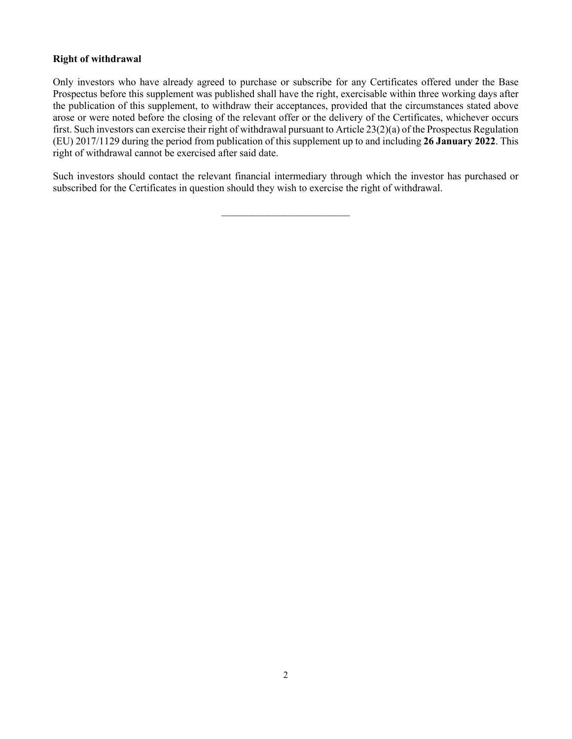# **Right of withdrawal**

Only investors who have already agreed to purchase or subscribe for any Certificates offered under the Base Prospectus before this supplement was published shall have the right, exercisable within three working days after the publication of this supplement, to withdraw their acceptances, provided that the circumstances stated above arose or were noted before the closing of the relevant offer or the delivery of the Certificates, whichever occurs first. Such investors can exercise their right of withdrawal pursuant to Article 23(2)(a) of the Prospectus Regulation (EU) 2017/1129 during the period from publication of this supplement up to and including **26 January 2022**. This right of withdrawal cannot be exercised after said date.

Such investors should contact the relevant financial intermediary through which the investor has purchased or subscribed for the Certificates in question should they wish to exercise the right of withdrawal.

 $\mathcal{L}_\text{max}$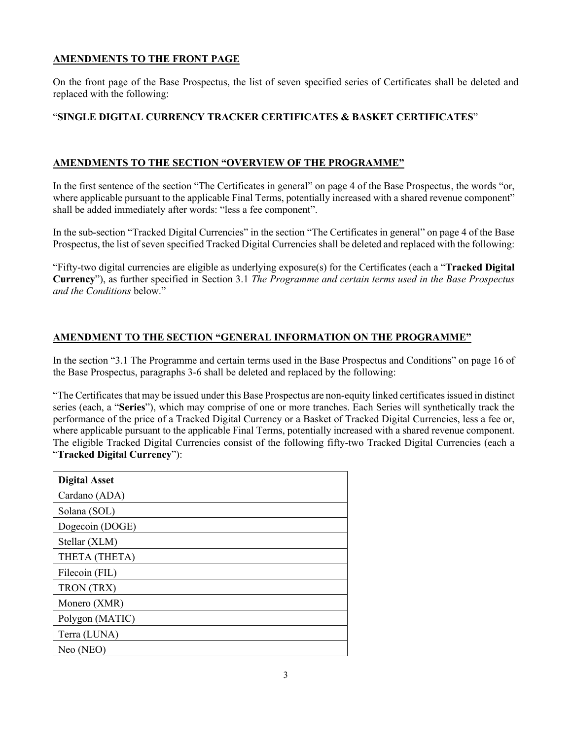# **AMENDMENTS TO THE FRONT PAGE**

On the front page of the Base Prospectus, the list of seven specified series of Certificates shall be deleted and replaced with the following:

### "**SINGLE DIGITAL CURRENCY TRACKER CERTIFICATES & BASKET CERTIFICATES**"

### **AMENDMENTS TO THE SECTION "OVERVIEW OF THE PROGRAMME"**

In the first sentence of the section "The Certificates in general" on page 4 of the Base Prospectus, the words "or, where applicable pursuant to the applicable Final Terms, potentially increased with a shared revenue component" shall be added immediately after words: "less a fee component".

In the sub-section "Tracked Digital Currencies" in the section "The Certificates in general" on page 4 of the Base Prospectus, the list of seven specified Tracked Digital Currencies shall be deleted and replaced with the following:

"Fifty-two digital currencies are eligible as underlying exposure(s) for the Certificates (each a "**Tracked Digital Currency**"), as further specified in Section 3.1 *The Programme and certain terms used in the Base Prospectus and the Conditions* below."

#### **AMENDMENT TO THE SECTION "GENERAL INFORMATION ON THE PROGRAMME"**

In the section "3.1 The Programme and certain terms used in the Base Prospectus and Conditions" on page 16 of the Base Prospectus, paragraphs 3-6 shall be deleted and replaced by the following:

"The Certificates that may be issued under this Base Prospectus are non-equity linked certificates issued in distinct series (each, a "**Series**"), which may comprise of one or more tranches. Each Series will synthetically track the performance of the price of a Tracked Digital Currency or a Basket of Tracked Digital Currencies, less a fee or, where applicable pursuant to the applicable Final Terms, potentially increased with a shared revenue component. The eligible Tracked Digital Currencies consist of the following fifty-two Tracked Digital Currencies (each a "**Tracked Digital Currency**"):

| <b>Digital Asset</b> |
|----------------------|
| Cardano (ADA)        |
| Solana (SOL)         |
| Dogecoin (DOGE)      |
| Stellar (XLM)        |
| THETA (THETA)        |
| Filecoin (FIL)       |
| TRON (TRX)           |
| Monero (XMR)         |
| Polygon (MATIC)      |
| Terra (LUNA)         |
| Neo (NEO)            |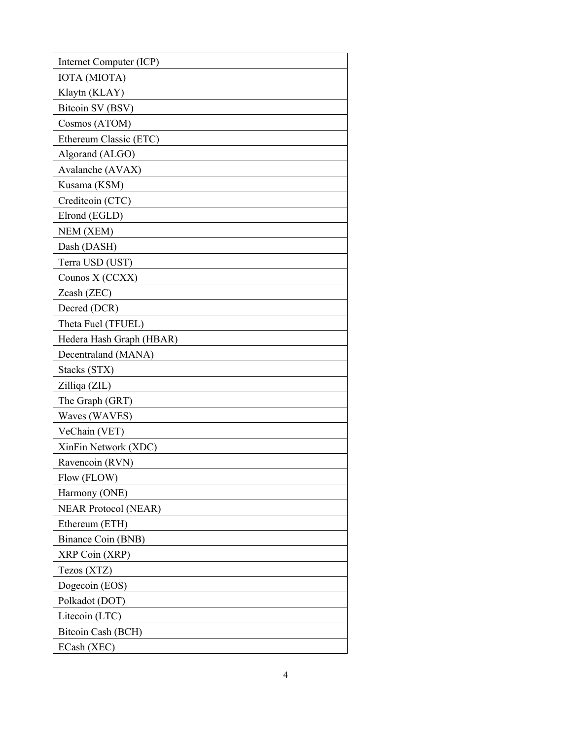| Internet Computer (ICP)     |
|-----------------------------|
| IOTA (MIOTA)                |
| Klaytn (KLAY)               |
| Bitcoin SV (BSV)            |
| Cosmos (ATOM)               |
| Ethereum Classic (ETC)      |
| Algorand (ALGO)             |
| Avalanche (AVAX)            |
| Kusama (KSM)                |
| Creditcoin (CTC)            |
| Elrond (EGLD)               |
| NEM (XEM)                   |
| Dash (DASH)                 |
| Terra USD (UST)             |
| Counos X (CCXX)             |
| Zcash (ZEC)                 |
| Decred (DCR)                |
| Theta Fuel (TFUEL)          |
| Hedera Hash Graph (HBAR)    |
| Decentraland (MANA)         |
| Stacks (STX)                |
| Zilliqa (ZIL)               |
| The Graph (GRT)             |
| Waves (WAVES)               |
| VeChain (VET)               |
| XinFin Network (XDC)        |
| Ravencoin (RVN)             |
| Flow (FLOW)                 |
| Harmony (ONE)               |
| <b>NEAR Protocol (NEAR)</b> |
| Ethereum (ETH)              |
| Binance Coin (BNB)          |
| XRP Coin (XRP)              |
| Tezos (XTZ)                 |
| Dogecoin (EOS)              |
| Polkadot (DOT)              |
| Litecoin (LTC)              |
| Bitcoin Cash (BCH)          |
| ECash (XEC)                 |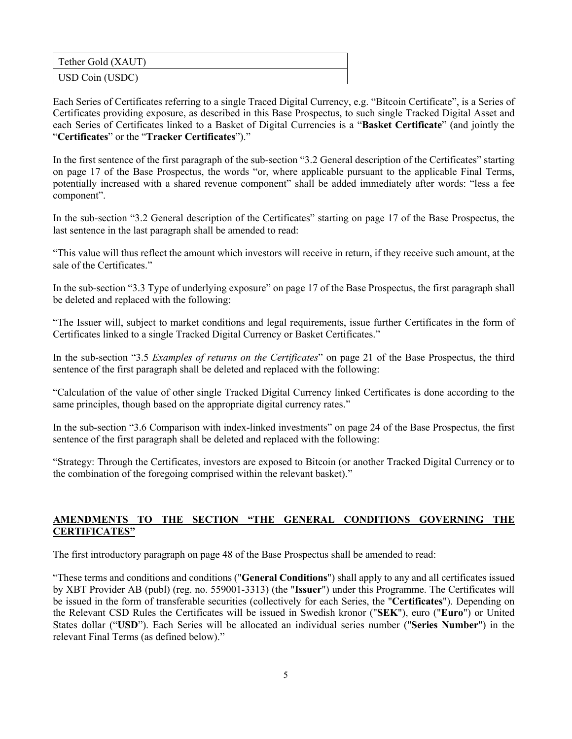| Tether Gold (XAUT) |  |
|--------------------|--|
| USD Coin (USDC)    |  |

Each Series of Certificates referring to a single Traced Digital Currency, e.g. "Bitcoin Certificate", is a Series of Certificates providing exposure, as described in this Base Prospectus, to such single Tracked Digital Asset and each Series of Certificates linked to a Basket of Digital Currencies is a "**Basket Certificate**" (and jointly the "**Certificates**" or the "**Tracker Certificates**")."

In the first sentence of the first paragraph of the sub-section "3.2 General description of the Certificates" starting on page 17 of the Base Prospectus, the words "or, where applicable pursuant to the applicable Final Terms, potentially increased with a shared revenue component" shall be added immediately after words: "less a fee component".

In the sub-section "3.2 General description of the Certificates" starting on page 17 of the Base Prospectus, the last sentence in the last paragraph shall be amended to read:

"This value will thus reflect the amount which investors will receive in return, if they receive such amount, at the sale of the Certificates."

In the sub-section "3.3 Type of underlying exposure" on page 17 of the Base Prospectus, the first paragraph shall be deleted and replaced with the following:

"The Issuer will, subject to market conditions and legal requirements, issue further Certificates in the form of Certificates linked to a single Tracked Digital Currency or Basket Certificates."

In the sub-section "3.5 *Examples of returns on the Certificates*" on page 21 of the Base Prospectus, the third sentence of the first paragraph shall be deleted and replaced with the following:

"Calculation of the value of other single Tracked Digital Currency linked Certificates is done according to the same principles, though based on the appropriate digital currency rates."

In the sub-section "3.6 Comparison with index-linked investments" on page 24 of the Base Prospectus, the first sentence of the first paragraph shall be deleted and replaced with the following:

"Strategy: Through the Certificates, investors are exposed to Bitcoin (or another Tracked Digital Currency or to the combination of the foregoing comprised within the relevant basket)."

# **AMENDMENTS TO THE SECTION "THE GENERAL CONDITIONS GOVERNING THE CERTIFICATES"**

The first introductory paragraph on page 48 of the Base Prospectus shall be amended to read:

"These terms and conditions and conditions ("**General Conditions**") shall apply to any and all certificates issued by XBT Provider AB (publ) (reg. no. 559001-3313) (the "**Issuer**") under this Programme. The Certificates will be issued in the form of transferable securities (collectively for each Series, the "**Certificates**"). Depending on the Relevant CSD Rules the Certificates will be issued in Swedish kronor ("**SEK**"), euro ("**Euro**") or United States dollar ("**USD**"). Each Series will be allocated an individual series number ("**Series Number**") in the relevant Final Terms (as defined below)."